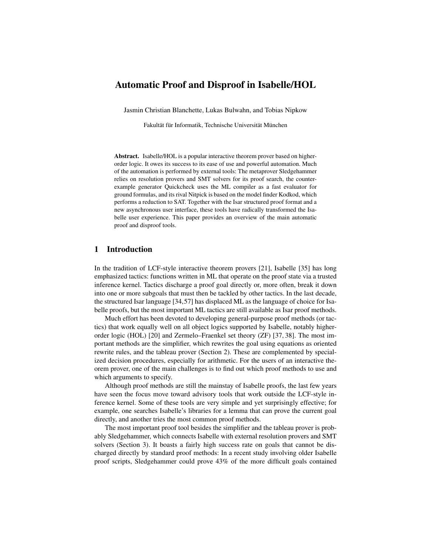# Automatic Proof and Disproof in Isabelle/HOL

Jasmin Christian Blanchette, Lukas Bulwahn, and Tobias Nipkow

Fakultät für Informatik, Technische Universität München

Abstract. Isabelle/HOL is a popular interactive theorem prover based on higherorder logic. It owes its success to its ease of use and powerful automation. Much of the automation is performed by external tools: The metaprover Sledgehammer relies on resolution provers and SMT solvers for its proof search, the counterexample generator Quickcheck uses the ML compiler as a fast evaluator for ground formulas, and its rival Nitpick is based on the model finder Kodkod, which performs a reduction to SAT. Together with the Isar structured proof format and a new asynchronous user interface, these tools have radically transformed the Isabelle user experience. This paper provides an overview of the main automatic proof and disproof tools.

# 1 Introduction

In the tradition of LCF-style interactive theorem provers [\[21\]](#page-13-0), Isabelle [\[35\]](#page-14-0) has long emphasized tactics: functions written in ML that operate on the proof state via a trusted inference kernel. Tactics discharge a proof goal directly or, more often, break it down into one or more subgoals that must then be tackled by other tactics. In the last decade, the structured Isar language [\[34,](#page-14-1)[57\]](#page-15-0) has displaced ML as the language of choice for Isabelle proofs, but the most important ML tactics are still available as Isar proof methods.

Much effort has been devoted to developing general-purpose proof methods (or tactics) that work equally well on all object logics supported by Isabelle, notably higherorder logic (HOL) [\[20\]](#page-13-1) and Zermelo–Fraenkel set theory (ZF) [\[37,](#page-14-2) [38\]](#page-14-3). The most important methods are the simplifier, which rewrites the goal using equations as oriented rewrite rules, and the tableau prover (Section [2\)](#page-1-0). These are complemented by specialized decision procedures, especially for arithmetic. For the users of an interactive theorem prover, one of the main challenges is to find out which proof methods to use and which arguments to specify.

Although proof methods are still the mainstay of Isabelle proofs, the last few years have seen the focus move toward advisory tools that work outside the LCF-style inference kernel. Some of these tools are very simple and yet surprisingly effective; for example, one searches Isabelle's libraries for a lemma that can prove the current goal directly, and another tries the most common proof methods.

The most important proof tool besides the simplifier and the tableau prover is probably Sledgehammer, which connects Isabelle with external resolution provers and SMT solvers (Section [3\)](#page-2-0). It boasts a fairly high success rate on goals that cannot be discharged directly by standard proof methods: In a recent study involving older Isabelle proof scripts, Sledgehammer could prove 43% of the more difficult goals contained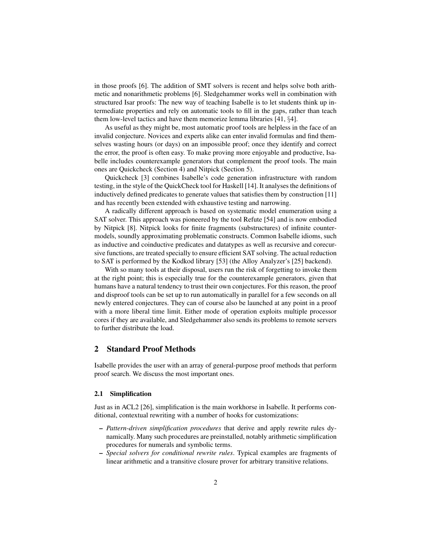in those proofs [\[6\]](#page-13-2). The addition of SMT solvers is recent and helps solve both arithmetic and nonarithmetic problems [\[6\]](#page-13-2). Sledgehammer works well in combination with structured Isar proofs: The new way of teaching Isabelle is to let students think up intermediate properties and rely on automatic tools to fill in the gaps, rather than teach them low-level tactics and have them memorize lemma libraries [\[41,](#page-14-4) §4].

As useful as they might be, most automatic proof tools are helpless in the face of an invalid conjecture. Novices and experts alike can enter invalid formulas and find themselves wasting hours (or days) on an impossible proof; once they identify and correct the error, the proof is often easy. To make proving more enjoyable and productive, Isabelle includes counterexample generators that complement the proof tools. The main ones are Quickcheck (Section [4\)](#page-6-0) and Nitpick (Section [5\)](#page-9-0).

Quickcheck [\[3\]](#page-13-3) combines Isabelle's code generation infrastructure with random testing, in the style of the QuickCheck tool for Haskell [\[14\]](#page-13-4). It analyses the definitions of inductively defined predicates to generate values that satisfies them by construction [\[11\]](#page-13-5) and has recently been extended with exhaustive testing and narrowing.

A radically different approach is based on systematic model enumeration using a SAT solver. This approach was pioneered by the tool Refute [\[54\]](#page-15-1) and is now embodied by Nitpick [\[8\]](#page-13-6). Nitpick looks for finite fragments (substructures) of infinite countermodels, soundly approximating problematic constructs. Common Isabelle idioms, such as inductive and coinductive predicates and datatypes as well as recursive and corecursive functions, are treated specially to ensure efficient SAT solving. The actual reduction to SAT is performed by the Kodkod library [\[53\]](#page-15-2) (the Alloy Analyzer's [\[25\]](#page-14-5) backend).

With so many tools at their disposal, users run the risk of forgetting to invoke them at the right point; this is especially true for the counterexample generators, given that humans have a natural tendency to trust their own conjectures. For this reason, the proof and disproof tools can be set up to run automatically in parallel for a few seconds on all newly entered conjectures. They can of course also be launched at any point in a proof with a more liberal time limit. Either mode of operation exploits multiple processor cores if they are available, and Sledgehammer also sends its problems to remote servers to further distribute the load.

## <span id="page-1-0"></span>2 Standard Proof Methods

Isabelle provides the user with an array of general-purpose proof methods that perform proof search. We discuss the most important ones.

### 2.1 Simplification

Just as in ACL2 [\[26\]](#page-14-6), simplification is the main workhorse in Isabelle. It performs conditional, contextual rewriting with a number of hooks for customizations:

- *Pattern-driven simplification procedures* that derive and apply rewrite rules dynamically. Many such procedures are preinstalled, notably arithmetic simplification procedures for numerals and symbolic terms.
- *Special solvers for conditional rewrite rules*. Typical examples are fragments of linear arithmetic and a transitive closure prover for arbitrary transitive relations.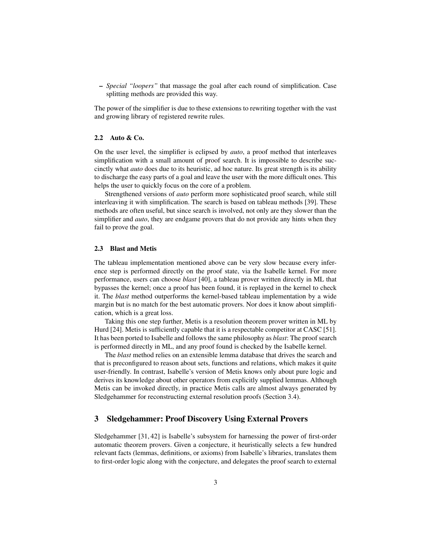– *Special "loopers"* that massage the goal after each round of simplification. Case splitting methods are provided this way.

The power of the simplifier is due to these extensions to rewriting together with the vast and growing library of registered rewrite rules.

### 2.2 Auto & Co.

On the user level, the simplifier is eclipsed by *auto*, a proof method that interleaves simplification with a small amount of proof search. It is impossible to describe succinctly what *auto* does due to its heuristic, ad hoc nature. Its great strength is its ability to discharge the easy parts of a goal and leave the user with the more difficult ones. This helps the user to quickly focus on the core of a problem.

Strengthened versions of *auto* perform more sophisticated proof search, while still interleaving it with simplification. The search is based on tableau methods [\[39\]](#page-14-7). These methods are often useful, but since search is involved, not only are they slower than the simplifier and *auto*, they are endgame provers that do not provide any hints when they fail to prove the goal.

#### 2.3 Blast and Metis

The tableau implementation mentioned above can be very slow because every inference step is performed directly on the proof state, via the Isabelle kernel. For more performance, users can choose *blast* [\[40\]](#page-14-8), a tableau prover written directly in ML that bypasses the kernel; once a proof has been found, it is replayed in the kernel to check it. The *blast* method outperforms the kernel-based tableau implementation by a wide margin but is no match for the best automatic provers. Nor does it know about simplification, which is a great loss.

Taking this one step further, Metis is a resolution theorem prover written in ML by Hurd [\[24\]](#page-14-9). Metis is sufficiently capable that it is a respectable competitor at CASC [\[51\]](#page-15-3). It has been ported to Isabelle and follows the same philosophy as *blast*: The proof search is performed directly in ML, and any proof found is checked by the Isabelle kernel.

The *blast* method relies on an extensible lemma database that drives the search and that is preconfigured to reason about sets, functions and relations, which makes it quite user-friendly. In contrast, Isabelle's version of Metis knows only about pure logic and derives its knowledge about other operators from explicitly supplied lemmas. Although Metis can be invoked directly, in practice Metis calls are almost always generated by Sledgehammer for reconstructing external resolution proofs (Section [3.4\)](#page-4-0).

## <span id="page-2-0"></span>3 Sledgehammer: Proof Discovery Using External Provers

Sledgehammer [\[31,](#page-14-10) [42\]](#page-14-11) is Isabelle's subsystem for harnessing the power of first-order automatic theorem provers. Given a conjecture, it heuristically selects a few hundred relevant facts (lemmas, definitions, or axioms) from Isabelle's libraries, translates them to first-order logic along with the conjecture, and delegates the proof search to external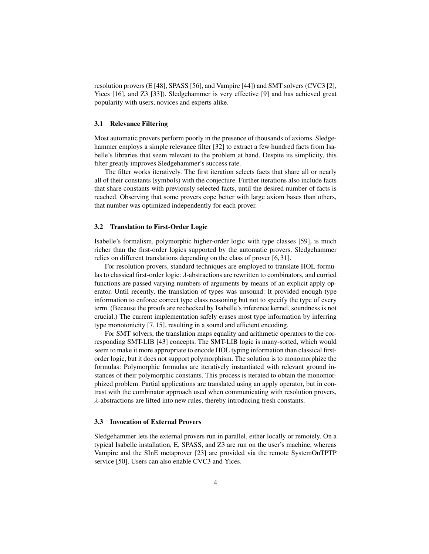resolution provers (E [\[48\]](#page-15-4), SPASS [\[56\]](#page-15-5), and Vampire [\[44\]](#page-14-12)) and SMT solvers (CVC3 [\[2\]](#page-13-7), Yices [\[16\]](#page-13-8), and Z3 [\[33\]](#page-14-13)). Sledgehammer is very effective [\[9\]](#page-13-9) and has achieved great popularity with users, novices and experts alike.

### 3.1 Relevance Filtering

Most automatic provers perform poorly in the presence of thousands of axioms. Sledgehammer employs a simple relevance filter [\[32\]](#page-14-14) to extract a few hundred facts from Isabelle's libraries that seem relevant to the problem at hand. Despite its simplicity, this filter greatly improves Sledgehammer's success rate.

The filter works iteratively. The first iteration selects facts that share all or nearly all of their constants (symbols) with the conjecture. Further iterations also include facts that share constants with previously selected facts, until the desired number of facts is reached. Observing that some provers cope better with large axiom bases than others, that number was optimized independently for each prover.

### 3.2 Translation to First-Order Logic

Isabelle's formalism, polymorphic higher-order logic with type classes [\[59\]](#page-15-6), is much richer than the first-order logics supported by the automatic provers. Sledgehammer relies on different translations depending on the class of prover [\[6,](#page-13-2) [31\]](#page-14-10).

For resolution provers, standard techniques are employed to translate HOL formulas to classical first-order logic: λ-abstractions are rewritten to combinators, and curried functions are passed varying numbers of arguments by means of an explicit apply operator. Until recently, the translation of types was unsound: It provided enough type information to enforce correct type class reasoning but not to specify the type of every term. (Because the proofs are rechecked by Isabelle's inference kernel, soundness is not crucial.) The current implementation safely erases most type information by inferring type monotonicity [\[7,](#page-13-10) [15\]](#page-13-11), resulting in a sound and efficient encoding.

For SMT solvers, the translation maps equality and arithmetic operators to the corresponding SMT-LIB [\[43\]](#page-14-15) concepts. The SMT-LIB logic is many-sorted, which would seem to make it more appropriate to encode HOL typing information than classical firstorder logic, but it does not support polymorphism. The solution is to monomorphize the formulas: Polymorphic formulas are iteratively instantiated with relevant ground instances of their polymorphic constants. This process is iterated to obtain the monomorphized problem. Partial applications are translated using an apply operator, but in contrast with the combinator approach used when communicating with resolution provers, λ-abstractions are lifted into new rules, thereby introducing fresh constants.

### 3.3 Invocation of External Provers

Sledgehammer lets the external provers run in parallel, either locally or remotely. On a typical Isabelle installation, E, SPASS, and Z3 are run on the user's machine, whereas Vampire and the SInE metaprover [\[23\]](#page-14-16) are provided via the remote SystemOnTPTP service [\[50\]](#page-15-7). Users can also enable CVC3 and Yices.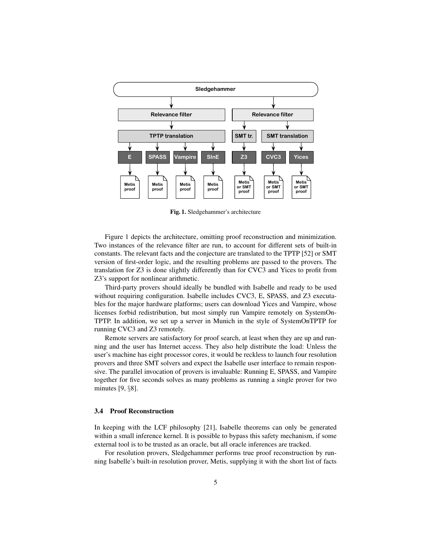

<span id="page-4-1"></span>Fig. 1. Sledgehammer's architecture

Figure [1](#page-4-1) depicts the architecture, omitting proof reconstruction and minimization. Two instances of the relevance filter are run, to account for different sets of built-in constants. The relevant facts and the conjecture are translated to the TPTP [\[52\]](#page-15-8) or SMT version of first-order logic, and the resulting problems are passed to the provers. The translation for Z3 is done slightly differently than for CVC3 and Yices to profit from Z3's support for nonlinear arithmetic.

Third-party provers should ideally be bundled with Isabelle and ready to be used without requiring configuration. Isabelle includes CVC3, E, SPASS, and Z3 executables for the major hardware platforms; users can download Yices and Vampire, whose licenses forbid redistribution, but most simply run Vampire remotely on SystemOn-TPTP. In addition, we set up a server in Munich in the style of SystemOnTPTP for running CVC3 and Z3 remotely.

Remote servers are satisfactory for proof search, at least when they are up and running and the user has Internet access. They also help distribute the load: Unless the user's machine has eight processor cores, it would be reckless to launch four resolution provers and three SMT solvers and expect the Isabelle user interface to remain responsive. The parallel invocation of provers is invaluable: Running E, SPASS, and Vampire together for five seconds solves as many problems as running a single prover for two minutes [\[9,](#page-13-9) §8].

#### <span id="page-4-0"></span>3.4 Proof Reconstruction

In keeping with the LCF philosophy [\[21\]](#page-13-0), Isabelle theorems can only be generated within a small inference kernel. It is possible to bypass this safety mechanism, if some external tool is to be trusted as an oracle, but all oracle inferences are tracked.

For resolution provers, Sledgehammer performs true proof reconstruction by running Isabelle's built-in resolution prover, Metis, supplying it with the short list of facts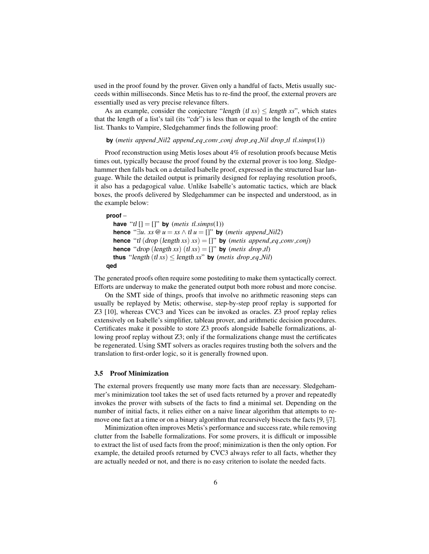used in the proof found by the prover. Given only a handful of facts, Metis usually succeeds within milliseconds. Since Metis has to re-find the proof, the external provers are essentially used as very precise relevance filters.

As an example, consider the conjecture "length  $(t \, x \, s) \leq \text{length } x \, s$ ", which states that the length of a list's tail (its "cdr") is less than or equal to the length of the entire list. Thanks to Vampire, Sledgehammer finds the following proof:

**by** (*metis append Nil2 append eq conv conj drop eq Nil drop tl tl.simps*(1))

Proof reconstruction using Metis loses about 4% of resolution proofs because Metis times out, typically because the proof found by the external prover is too long. Sledgehammer then falls back on a detailed Isabelle proof, expressed in the structured Isar language. While the detailed output is primarily designed for replaying resolution proofs, it also has a pedagogical value. Unlike Isabelle's automatic tactics, which are black boxes, the proofs delivered by Sledgehammer can be inspected and understood, as in the example below:

### **proof** –

```
have "tl [] = []" by (metis tl.simps(1))
  hence "∃u. xs @u = xs ∧ t1u = []" by (metis append_Nil2)
  hence "tl (drop (length xs) xs) = []" by (metis append_eq_{conv\_conj})hence "drop (length xs) (tl xs) = []" by (metis drop_tl)
  thus "length (t \mid xs) \leq \text{length} xs" by (metis drop_eq_Nil)
qed
```
The generated proofs often require some postediting to make them syntactically correct. Efforts are underway to make the generated output both more robust and more concise.

On the SMT side of things, proofs that involve no arithmetic reasoning steps can usually be replayed by Metis; otherwise, step-by-step proof replay is supported for Z3 [\[10\]](#page-13-12), whereas CVC3 and Yices can be invoked as oracles. Z3 proof replay relies extensively on Isabelle's simplifier, tableau prover, and arithmetic decision procedures. Certificates make it possible to store Z3 proofs alongside Isabelle formalizations, allowing proof replay without Z3; only if the formalizations change must the certificates be regenerated. Using SMT solvers as oracles requires trusting both the solvers and the translation to first-order logic, so it is generally frowned upon.

### 3.5 Proof Minimization

The external provers frequently use many more facts than are necessary. Sledgehammer's minimization tool takes the set of used facts returned by a prover and repeatedly invokes the prover with subsets of the facts to find a minimal set. Depending on the number of initial facts, it relies either on a naive linear algorithm that attempts to remove one fact at a time or on a binary algorithm that recursively bisects the facts [\[9,](#page-13-9) §7].

Minimization often improves Metis's performance and success rate, while removing clutter from the Isabelle formalizations. For some provers, it is difficult or impossible to extract the list of used facts from the proof; minimization is then the only option. For example, the detailed proofs returned by CVC3 always refer to all facts, whether they are actually needed or not, and there is no easy criterion to isolate the needed facts.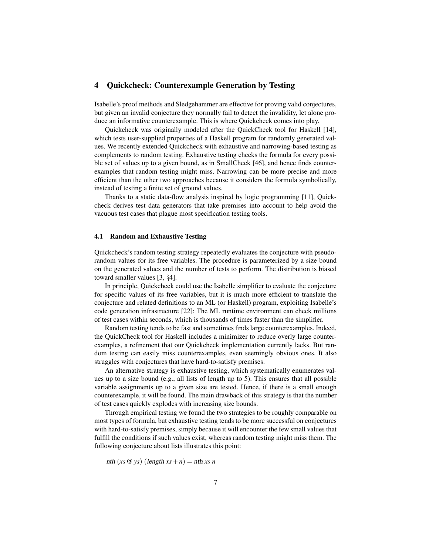# <span id="page-6-0"></span>4 Quickcheck: Counterexample Generation by Testing

Isabelle's proof methods and Sledgehammer are effective for proving valid conjectures, but given an invalid conjecture they normally fail to detect the invalidity, let alone produce an informative counterexample. This is where Quickcheck comes into play.

Quickcheck was originally modeled after the QuickCheck tool for Haskell [\[14\]](#page-13-4), which tests user-supplied properties of a Haskell program for randomly generated values. We recently extended Quickcheck with exhaustive and narrowing-based testing as complements to random testing. Exhaustive testing checks the formula for every possible set of values up to a given bound, as in SmallCheck [\[46\]](#page-14-17), and hence finds counterexamples that random testing might miss. Narrowing can be more precise and more efficient than the other two approaches because it considers the formula symbolically, instead of testing a finite set of ground values.

Thanks to a static data-flow analysis inspired by logic programming [\[11\]](#page-13-5), Quickcheck derives test data generators that take premises into account to help avoid the vacuous test cases that plague most specification testing tools.

### 4.1 Random and Exhaustive Testing

Quickcheck's random testing strategy repeatedly evaluates the conjecture with pseudorandom values for its free variables. The procedure is parameterized by a size bound on the generated values and the number of tests to perform. The distribution is biased toward smaller values [\[3,](#page-13-3) §4].

In principle, Quickcheck could use the Isabelle simplifier to evaluate the conjecture for specific values of its free variables, but it is much more efficient to translate the conjecture and related definitions to an ML (or Haskell) program, exploiting Isabelle's code generation infrastructure [\[22\]](#page-14-18): The ML runtime environment can check millions of test cases within seconds, which is thousands of times faster than the simplifier.

Random testing tends to be fast and sometimes finds large counterexamples. Indeed, the QuickCheck tool for Haskell includes a minimizer to reduce overly large counterexamples, a refinement that our Quickcheck implementation currently lacks. But random testing can easily miss counterexamples, even seemingly obvious ones. It also struggles with conjectures that have hard-to-satisfy premises.

An alternative strategy is exhaustive testing, which systematically enumerates values up to a size bound (e.g., all lists of length up to 5). This ensures that all possible variable assignments up to a given size are tested. Hence, if there is a small enough counterexample, it will be found. The main drawback of this strategy is that the number of test cases quickly explodes with increasing size bounds.

Through empirical testing we found the two strategies to be roughly comparable on most types of formula, but exhaustive testing tends to be more successful on conjectures with hard-to-satisfy premises, simply because it will encounter the few small values that fulfill the conditions if such values exist, whereas random testing might miss them. The following conjecture about lists illustrates this point:

nth  $(xs \otimes ys)$  (length  $xs + n$ ) = nth *xs n*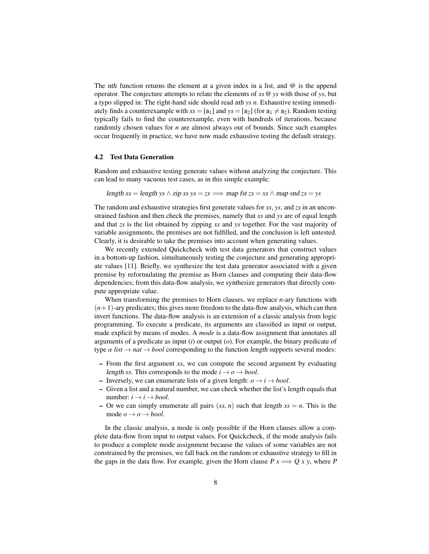The *nth* function returns the element at a given index in a list, and  $\omega$  is the append operator. The conjecture attempts to relate the elements of *xs*@*ys* with those of *ys*, but a typo slipped in: The right-hand side should read nth *ys n*. Exhaustive testing immediately finds a counterexample with  $xs = [a_1]$  and  $ys = [a_2]$  (for  $a_1 \neq a_2$ ). Random testing typically fails to find the counterexample, even with hundreds of iterations, because randomly chosen values for *n* are almost always out of bounds. Since such examples occur frequently in practice, we have now made exhaustive testing the default strategy.

### 4.2 Test Data Generation

Random and exhaustive testing generate values without analyzing the conjecture. This can lead to many vacuous test cases, as in this simple example:

length 
$$
xs
$$
 = length  $ys \land zip xs$   $ys = zs$   $\implies$  map  $fst zs = xs \land map$   $snd zs = ys$ 

The random and exhaustive strategies first generate values for *xs*, *ys*, and *zs* in an unconstrained fashion and then check the premises, namely that *xs* and *ys* are of equal length and that *zs* is the list obtained by zipping *xs* and *ys* together. For the vast majority of variable assignments, the premises are not fulfilled, and the conclusion is left untested. Clearly, it is desirable to take the premises into account when generating values.

We recently extended Quickcheck with test data generators that construct values in a bottom-up fashion, simultaneously testing the conjecture and generating appropriate values [\[11\]](#page-13-5). Briefly, we synthesize the test data generator associated with a given premise by reformulating the premise as Horn clauses and computing their data-flow dependencies; from this data-flow analysis, we synthesize generators that directly compute appropriate value.

When transforming the premises to Horn clauses, we replace *n*-ary functions with  $(n+1)$ -ary predicates; this gives more freedom to the data-flow analysis, which can then invert functions. The data-flow analysis is an extension of a classic analysis from logic programming. To execute a predicate, its arguments are classified as input or output, made explicit by means of modes. A *mode* is a data-flow assignment that annotates all arguments of a predicate as input (*i*) or output (*o*). For example, the binary predicate of type  $\alpha$  *list*  $\rightarrow$  *nat*  $\rightarrow$  *bool* corresponding to the function length supports several modes:

- From the first argument *xs*, we can compute the second argument by evaluating length *xs*. This corresponds to the mode  $i \rightarrow o \rightarrow bool$ .
- Inversely, we can enumerate lists of a given length:  $o \rightarrow i \rightarrow bool$ .
- Given a list and a natural number, we can check whether the list's length equals that number:  $i \rightarrow i \rightarrow bool$ .
- Or we can simply enumerate all pairs  $(xs, n)$  such that length  $xs = n$ . This is the mode  $\rho \rightarrow \rho \rightarrow bool$ .

In the classic analysis, a mode is only possible if the Horn clauses allow a complete data-flow from input to output values. For Quickcheck, if the mode analysis fails to produce a complete mode assignment because the values of some variables are not constrained by the premises, we fall back on the random or exhaustive strategy to fill in the gaps in the data flow. For example, given the Horn clause  $P x \Longrightarrow Q x y$ , where P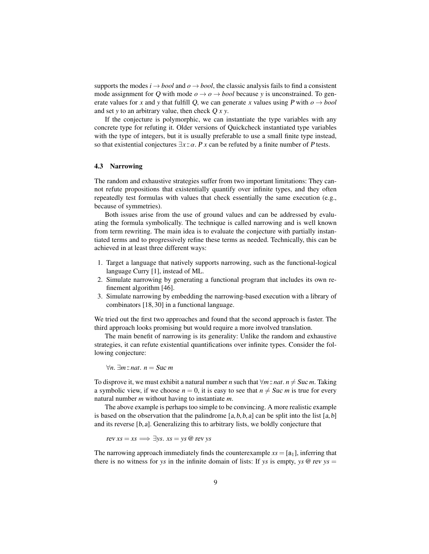supports the modes  $i \rightarrow bool$  and  $o \rightarrow bool$ , the classic analysis fails to find a consistent mode assignment for Q with mode  $o \rightarrow o \rightarrow bool$  because *y* is unconstrained. To generate values for *x* and *y* that fulfill Q, we can generate *x* values using P with  $o \rightarrow bool$ and set *y* to an arbitrary value, then check Q *x y*.

If the conjecture is polymorphic, we can instantiate the type variables with any concrete type for refuting it. Older versions of Quickcheck instantiated type variables with the type of integers, but it is usually preferable to use a small finite type instead, so that existential conjectures  $\exists x$  ::  $\alpha$ . *P x* can be refuted by a finite number of *P* tests.

### 4.3 Narrowing

The random and exhaustive strategies suffer from two important limitations: They cannot refute propositions that existentially quantify over infinite types, and they often repeatedly test formulas with values that check essentially the same execution (e.g., because of symmetries).

Both issues arise from the use of ground values and can be addressed by evaluating the formula symbolically. The technique is called narrowing and is well known from term rewriting. The main idea is to evaluate the conjecture with partially instantiated terms and to progressively refine these terms as needed. Technically, this can be achieved in at least three different ways:

- 1. Target a language that natively supports narrowing, such as the functional-logical language Curry [\[1\]](#page-13-13), instead of ML.
- 2. Simulate narrowing by generating a functional program that includes its own refinement algorithm [\[46\]](#page-14-17).
- 3. Simulate narrowing by embedding the narrowing-based execution with a library of combinators [\[18,](#page-13-14) [30\]](#page-14-19) in a functional language.

We tried out the first two approaches and found that the second approach is faster. The third approach looks promising but would require a more involved translation.

The main benefit of narrowing is its generality: Unlike the random and exhaustive strategies, it can refute existential quantifications over infinite types. Consider the following conjecture:

$$
\forall n. \ \exists m \, :: \, nat. \ n = \text{Suc } m
$$

To disprove it, we must exhibit a natural number *n* such that  $\forall m$ ::*nat*. *n*  $\neq$  Suc *m*. Taking a symbolic view, if we choose  $n = 0$ , it is easy to see that  $n \neq$  Suc *m* is true for every natural number *m* without having to instantiate *m*.

The above example is perhaps too simple to be convincing. A more realistic example is based on the observation that the palindrome  $[a, b, b, a]$  can be split into the list  $[a, b]$ and its reverse  $[b, a]$ . Generalizing this to arbitrary lists, we boldly conjecture that

 $rev xs = xs \implies \exists ys. xs = ys @ rev ys$ 

The narrowing approach immediately finds the counterexample  $xs = [a_1]$ , inferring that there is no witness for *ys* in the infinite domain of lists: If *ys* is empty, *ys*  $\omega$  *rev ys* =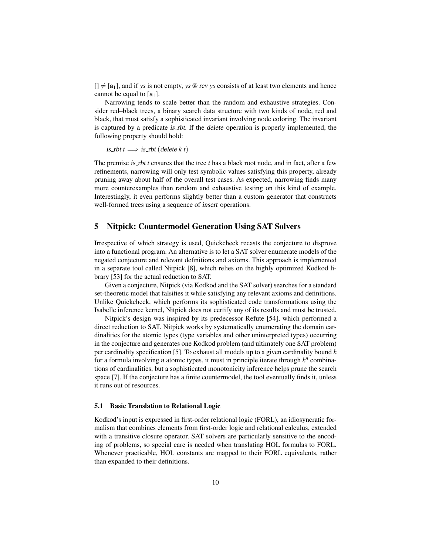$[$   $\neq$  [a<sub>1</sub>], and if *ys* is not empty, *ys* @ *rev ys* consists of at least two elements and hence cannot be equal to  $[a_1]$ .

Narrowing tends to scale better than the random and exhaustive strategies. Consider red–black trees, a binary search data structure with two kinds of node, red and black, that must satisfy a sophisticated invariant involving node coloring. The invariant is captured by a predicate is rbt. If the delete operation is properly implemented, the following property should hold:

is\_rbt 
$$
t \implies
$$
 is\_rbt (delete  $k t$ )

The premise *is\_rbt t* ensures that the tree *t* has a black root node, and in fact, after a few refinements, narrowing will only test symbolic values satisfying this property, already pruning away about half of the overall test cases. As expected, narrowing finds many more counterexamples than random and exhaustive testing on this kind of example. Interestingly, it even performs slightly better than a custom generator that constructs well-formed trees using a sequence of insert operations.

## <span id="page-9-0"></span>5 Nitpick: Countermodel Generation Using SAT Solvers

Irrespective of which strategy is used, Quickcheck recasts the conjecture to disprove into a functional program. An alternative is to let a SAT solver enumerate models of the negated conjecture and relevant definitions and axioms. This approach is implemented in a separate tool called Nitpick [\[8\]](#page-13-6), which relies on the highly optimized Kodkod library [\[53\]](#page-15-2) for the actual reduction to SAT.

Given a conjecture, Nitpick (via Kodkod and the SAT solver) searches for a standard set-theoretic model that falsifies it while satisfying any relevant axioms and definitions. Unlike Quickcheck, which performs its sophisticated code transformations using the Isabelle inference kernel, Nitpick does not certify any of its results and must be trusted.

Nitpick's design was inspired by its predecessor Refute [\[54\]](#page-15-1), which performed a direct reduction to SAT. Nitpick works by systematically enumerating the domain cardinalities for the atomic types (type variables and other uninterpreted types) occurring in the conjecture and generates one Kodkod problem (and ultimately one SAT problem) per cardinality specification [\[5\]](#page-13-15). To exhaust all models up to a given cardinality bound *k* for a formula involving *n* atomic types, it must in principle iterate through *k n* combinations of cardinalities, but a sophisticated monotonicity inference helps prune the search space [\[7\]](#page-13-10). If the conjecture has a finite countermodel, the tool eventually finds it, unless it runs out of resources.

#### 5.1 Basic Translation to Relational Logic

Kodkod's input is expressed in first-order relational logic (FORL), an idiosyncratic formalism that combines elements from first-order logic and relational calculus, extended with a transitive closure operator. SAT solvers are particularly sensitive to the encoding of problems, so special care is needed when translating HOL formulas to FORL. Whenever practicable, HOL constants are mapped to their FORL equivalents, rather than expanded to their definitions.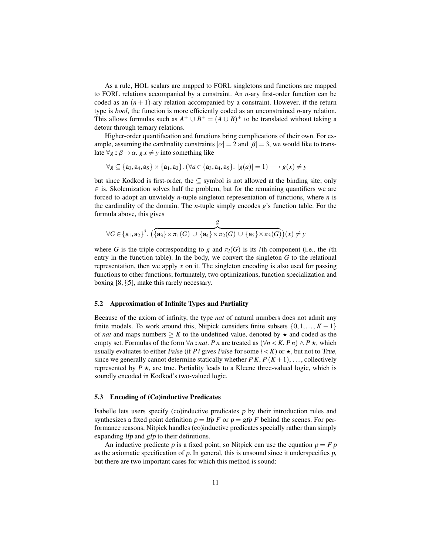As a rule, HOL scalars are mapped to FORL singletons and functions are mapped to FORL relations accompanied by a constraint. An *n*-ary first-order function can be coded as an  $(n+1)$ -ary relation accompanied by a constraint. However, if the return type is *bool*, the function is more efficiently coded as an unconstrained *n*-ary relation. This allows formulas such as  $A^+ \cup B^+ = (A \cup B)^+$  to be translated without taking a detour through ternary relations.

Higher-order quantification and functions bring complications of their own. For example, assuming the cardinality constraints  $|\alpha| = 2$  and  $|\beta| = 3$ , we would like to translate  $\forall g : B \rightarrow \alpha$ .  $g x \neq y$  into something like

 $\forall g$  ⊆ {a<sub>3</sub>, a<sub>4</sub>, a<sub>5</sub>} × {a<sub>1</sub>, a<sub>2</sub>}. ( $\forall a \in \{a_3, a_4, a_5\}$ .  $|g(a)| = 1$ ) →  $g(x) \neq y$ 

but since Kodkod is first-order, the ⊆ symbol is not allowed at the binding site; only  $\epsilon$  is. Skolemization solves half the problem, but for the remaining quantifiers we are forced to adopt an unwieldy *n*-tuple singleton representation of functions, where *n* is the cardinality of the domain. The *n*-tuple simply encodes *g*'s function table. For the formula above, this gives

$$
\forall G \in \{a_1, a_2\}^3. \left(\overbrace{\{a_3\} \times \pi_1(G) \cup \{a_4\} \times \pi_2(G) \cup \{a_5\} \times \pi_3(G)}^{g}\right)(x) \neq y
$$

where *G* is the triple corresponding to *g* and  $\pi_i(G)$  is its *i*th component (i.e., the *i*th entry in the function table). In the body, we convert the singleton *G* to the relational representation, then we apply  $x$  on it. The singleton encoding is also used for passing functions to other functions; fortunately, two optimizations, function specialization and boxing [\[8,](#page-13-6) §5], make this rarely necessary.

### 5.2 Approximation of Infinite Types and Partiality

Because of the axiom of infinity, the type *nat* of natural numbers does not admit any finite models. To work around this, Nitpick considers finite subsets  $\{0,1,\ldots,K-1\}$ of *nat* and maps numbers  $\geq K$  to the undefined value, denoted by  $\star$  and coded as the empty set. Formulas of the form  $\forall n$ ::*nat*. P *n* are treated as  $(\forall n < K, P \, n) \land P \star$ , which usually evaluates to either False (if P *i* gives False for some  $i < K$ ) or  $\star$ , but not to True, since we generally cannot determine statically whether  $P K$ ,  $P (K+1)$ , ..., collectively represented by  $P \star$ , are true. Partiality leads to a Kleene three-valued logic, which is soundly encoded in Kodkod's two-valued logic.

### 5.3 Encoding of (Co)inductive Predicates

Isabelle lets users specify (co)inductive predicates  $p$  by their introduction rules and synthesizes a fixed point definition  $p =$  *Ifp F* or  $p =$  *gfp F* behind the scenes. For performance reasons, Nitpick handles (co)inductive predicates specially rather than simply expanding lfp and gfp to their definitions.

An inductive predicate p is a fixed point, so Nitpick can use the equation  $p = F p$ as the axiomatic specification of  $p$ . In general, this is unsound since it underspecifies  $p$ , but there are two important cases for which this method is sound: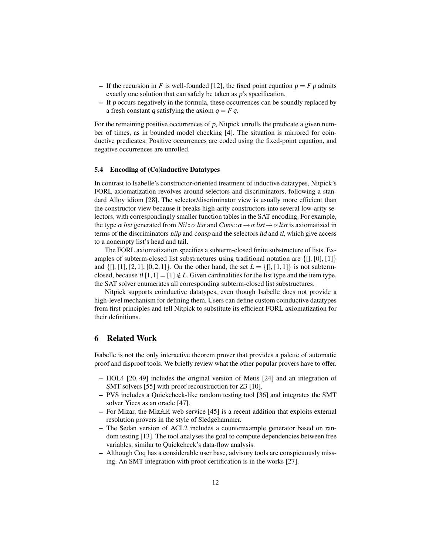- If the recursion in *F* is well-founded [\[12\]](#page-13-16), the fixed point equation  $p = F p$  admits exactly one solution that can safely be taken as  $p$ 's specification.
- If p occurs negatively in the formula, these occurrences can be soundly replaced by a fresh constant q satisfying the axiom  $q = F q$ .

For the remaining positive occurrences of  $p$ , Nitpick unrolls the predicate a given number of times, as in bounded model checking [\[4\]](#page-13-17). The situation is mirrored for coinductive predicates: Positive occurrences are coded using the fixed-point equation, and negative occurrences are unrolled.

### 5.4 Encoding of (Co)inductive Datatypes

In contrast to Isabelle's constructor-oriented treatment of inductive datatypes, Nitpick's FORL axiomatization revolves around selectors and discriminators, following a standard Alloy idiom [\[28\]](#page-14-20). The selector/discriminator view is usually more efficient than the constructor view because it breaks high-arity constructors into several low-arity selectors, with correspondingly smaller function tables in the SAT encoding. For example, the type  $\alpha$  *list* generated from Nil:: $\alpha$  *list* and Cons:: $\alpha \rightarrow \alpha$  *list*  $\rightarrow \alpha$  *list* is axiomatized in terms of the discriminators nilp and consp and the selectors hd and tl, which give access to a nonempty list's head and tail.

The FORL axiomatization specifies a subterm-closed finite substructure of lists. Examples of subterm-closed list substructures using traditional notation are  $\{[], [0], [1]\}$ and  $\{[], [1], [2,1], [0,2,1]\}$ . On the other hand, the set  $L = \{[], [1,1]\}$  is not subtermclosed, because  $t[1,1] = [1] \notin L$ . Given cardinalities for the list type and the item type, the SAT solver enumerates all corresponding subterm-closed list substructures.

Nitpick supports coinductive datatypes, even though Isabelle does not provide a high-level mechanism for defining them. Users can define custom coinductive datatypes from first principles and tell Nitpick to substitute its efficient FORL axiomatization for their definitions.

# 6 Related Work

Isabelle is not the only interactive theorem prover that provides a palette of automatic proof and disproof tools. We briefly review what the other popular provers have to offer.

- HOL4 [\[20,](#page-13-1) [49\]](#page-15-9) includes the original version of Metis [\[24\]](#page-14-9) and an integration of SMT solvers [\[55\]](#page-15-10) with proof reconstruction for Z3 [\[10\]](#page-13-12).
- PVS includes a Quickcheck-like random testing tool [\[36\]](#page-14-21) and integrates the SMT solver Yices as an oracle [\[47\]](#page-14-22).
- For Mizar, the MizAR web service  $[45]$  is a recent addition that exploits external resolution provers in the style of Sledgehammer.
- The Sedan version of ACL2 includes a counterexample generator based on random testing [\[13\]](#page-13-18). The tool analyses the goal to compute dependencies between free variables, similar to Quickcheck's data-flow analysis.
- Although Coq has a considerable user base, advisory tools are conspicuously missing. An SMT integration with proof certification is in the works [\[27\]](#page-14-24).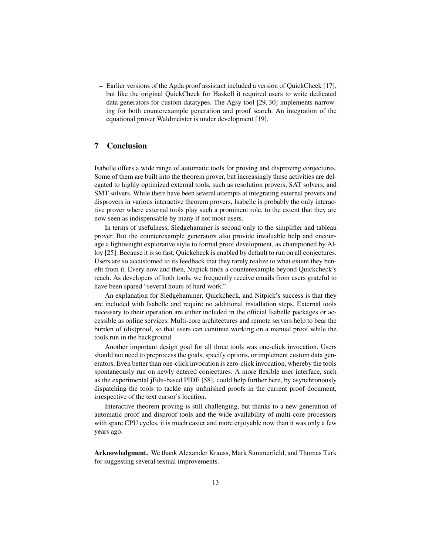– Earlier versions of the Agda proof assistant included a version of QuickCheck [\[17\]](#page-13-19), but like the original QuickCheck for Haskell it required users to write dedicated data generators for custom datatypes. The Agsy tool [\[29,](#page-14-25) [30\]](#page-14-19) implements narrowing for both counterexample generation and proof search. An integration of the equational prover Waldmeister is under development [\[19\]](#page-13-20).

## 7 Conclusion

Isabelle offers a wide range of automatic tools for proving and disproving conjectures. Some of them are built into the theorem prover, but increasingly these activities are delegated to highly optimized external tools, such as resolution provers, SAT solvers, and SMT solvers. While there have been several attempts at integrating external provers and disprovers in various interactive theorem provers, Isabelle is probably the only interactive prover where external tools play such a prominent role, to the extent that they are now seen as indispensable by many if not most users.

In terms of usefulness, Sledgehammer is second only to the simplifier and tableau prover. But the counterexample generators also provide invaluable help and encourage a lightweight explorative style to formal proof development, as championed by Alloy [\[25\]](#page-14-5). Because it is so fast, Quickcheck is enabled by default to run on all conjectures. Users are so accustomed to its feedback that they rarely realize to what extent they benefit from it. Every now and then, Nitpick finds a counterexample beyond Quickcheck's reach. As developers of both tools, we frequently receive emails from users grateful to have been spared "several hours of hard work."

An explanation for Sledgehammer, Quickcheck, and Nitpick's success is that they are included with Isabelle and require no additional installation steps. External tools necessary to their operation are either included in the official Isabelle packages or accessible as online services. Multi-core architectures and remote servers help to bear the burden of (dis)proof, so that users can continue working on a manual proof while the tools run in the background.

Another important design goal for all three tools was one-click invocation. Users should not need to preprocess the goals, specify options, or implement custom data generators. Even better than one-click invocation is zero-click invocation, whereby the tools spontaneously run on newly entered conjectures. A more flexible user interface, such as the experimental jEdit-based PIDE [\[58\]](#page-15-11), could help further here, by asynchronously dispatching the tools to tackle any unfinished proofs in the current proof document, irrespective of the text cursor's location.

Interactive theorem proving is still challenging, but thanks to a new generation of automatic proof and disproof tools and the wide availability of multi-core processors with spare CPU cycles, it is much easier and more enjoyable now than it was only a few years ago.

Acknowledgment. We thank Alexander Krauss, Mark Summerfield, and Thomas Türk for suggesting several textual improvements.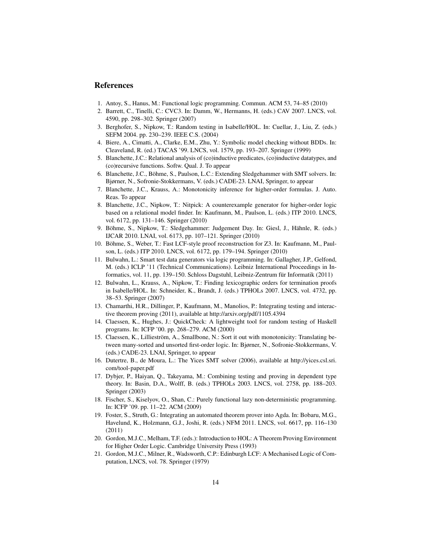## References

- <span id="page-13-13"></span>1. Antoy, S., Hanus, M.: Functional logic programming. Commun. ACM 53, 74–85 (2010)
- <span id="page-13-7"></span>2. Barrett, C., Tinelli, C.: CVC3. In: Damm, W., Hermanns, H. (eds.) CAV 2007. LNCS, vol. 4590, pp. 298–302. Springer (2007)
- <span id="page-13-3"></span>3. Berghofer, S., Nipkow, T.: Random testing in Isabelle/HOL. In: Cuellar, J., Liu, Z. (eds.) SEFM 2004. pp. 230–239. IEEE C.S. (2004)
- <span id="page-13-17"></span>4. Biere, A., Cimatti, A., Clarke, E.M., Zhu, Y.: Symbolic model checking without BDDs. In: Cleaveland, R. (ed.) TACAS '99. LNCS, vol. 1579, pp. 193–207. Springer (1999)
- <span id="page-13-15"></span>5. Blanchette, J.C.: Relational analysis of (co)inductive predicates, (co)inductive datatypes, and (co)recursive functions. Softw. Qual. J. To appear
- <span id="page-13-2"></span>6. Blanchette, J.C., Bohme, S., Paulson, L.C.: Extending Sledgehammer with SMT solvers. In: ¨ Bjørner, N., Sofronie-Stokkermans, V. (eds.) CADE-23. LNAI, Springer, to appear
- <span id="page-13-10"></span>7. Blanchette, J.C., Krauss, A.: Monotonicity inference for higher-order formulas. J. Auto. Reas. To appear
- <span id="page-13-6"></span>8. Blanchette, J.C., Nipkow, T.: Nitpick: A counterexample generator for higher-order logic based on a relational model finder. In: Kaufmann, M., Paulson, L. (eds.) ITP 2010. LNCS, vol. 6172, pp. 131–146. Springer (2010)
- <span id="page-13-9"></span>9. Böhme, S., Nipkow, T.: Sledgehammer: Judgement Day. In: Giesl, J., Hähnle, R. (eds.) IJCAR 2010. LNAI, vol. 6173, pp. 107–121. Springer (2010)
- <span id="page-13-12"></span>10. Bohme, S., Weber, T.: Fast LCF-style proof reconstruction for Z3. In: Kaufmann, M., Paul- ¨ son, L. (eds.) ITP 2010. LNCS, vol. 6172, pp. 179–194. Springer (2010)
- <span id="page-13-5"></span>11. Bulwahn, L.: Smart test data generators via logic programming. In: Gallagher, J.P., Gelfond, M. (eds.) ICLP '11 (Technical Communications). Leibniz International Proceedings in Informatics, vol. 11, pp. 139–150. Schloss Dagstuhl, Leibniz-Zentrum fur Informatik (2011) ¨
- <span id="page-13-16"></span>12. Bulwahn, L., Krauss, A., Nipkow, T.: Finding lexicographic orders for termination proofs in Isabelle/HOL. In: Schneider, K., Brandt, J. (eds.) TPHOLs 2007. LNCS, vol. 4732, pp. 38–53. Springer (2007)
- <span id="page-13-18"></span>13. Chamarthi, H.R., Dillinger, P., Kaufmann, M., Manolios, P.: Integrating testing and interactive theorem proving (2011), available at <http://arxiv.org/pdf/1105.4394>
- <span id="page-13-4"></span>14. Claessen, K., Hughes, J.: QuickCheck: A lightweight tool for random testing of Haskell programs. In: ICFP '00. pp. 268–279. ACM (2000)
- <span id="page-13-11"></span>15. Claessen, K., Lillieström, A., Smallbone, N.: Sort it out with monotonicity: Translating between many-sorted and unsorted first-order logic. In: Bjørner, N., Sofronie-Stokkermans, V. (eds.) CADE-23. LNAI, Springer, to appear
- <span id="page-13-8"></span>16. Dutertre, B., de Moura, L.: The Yices SMT solver (2006), available at [http://yices.csl.sri.](http://yices.csl.sri.com/tool-paper.pdf) [com/tool-paper.pdf](http://yices.csl.sri.com/tool-paper.pdf)
- <span id="page-13-19"></span>17. Dybjer, P., Haiyan, Q., Takeyama, M.: Combining testing and proving in dependent type theory. In: Basin, D.A., Wolff, B. (eds.) TPHOLs 2003. LNCS, vol. 2758, pp. 188–203. Springer (2003)
- <span id="page-13-14"></span>18. Fischer, S., Kiselyov, O., Shan, C.: Purely functional lazy non-deterministic programming. In: ICFP '09. pp. 11–22. ACM (2009)
- <span id="page-13-20"></span>19. Foster, S., Struth, G.: Integrating an automated theorem prover into Agda. In: Bobaru, M.G., Havelund, K., Holzmann, G.J., Joshi, R. (eds.) NFM 2011. LNCS, vol. 6617, pp. 116–130 (2011)
- <span id="page-13-1"></span>20. Gordon, M.J.C., Melham, T.F. (eds.): Introduction to HOL: A Theorem Proving Environment for Higher Order Logic. Cambridge University Press (1993)
- <span id="page-13-0"></span>21. Gordon, M.J.C., Milner, R., Wadsworth, C.P.: Edinburgh LCF: A Mechanised Logic of Computation, LNCS, vol. 78. Springer (1979)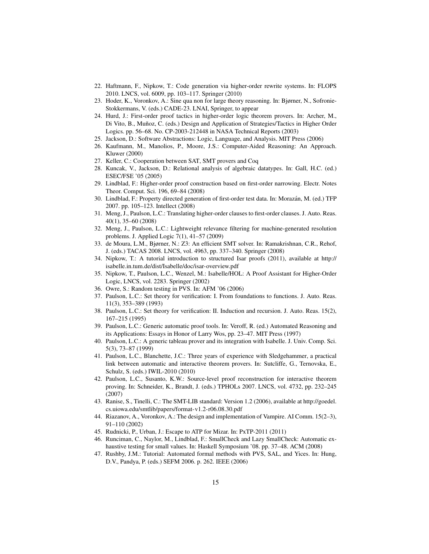- <span id="page-14-18"></span>22. Haftmann, F., Nipkow, T.: Code generation via higher-order rewrite systems. In: FLOPS 2010. LNCS, vol. 6009, pp. 103–117. Springer (2010)
- <span id="page-14-16"></span>23. Hoder, K., Voronkov, A.: Sine qua non for large theory reasoning. In: Bjørner, N., Sofronie-Stokkermans, V. (eds.) CADE-23. LNAI, Springer, to appear
- <span id="page-14-9"></span>24. Hurd, J.: First-order proof tactics in higher-order logic theorem provers. In: Archer, M., Di Vito, B., Muñoz, C. (eds.) Design and Application of Strategies/Tactics in Higher Order Logics. pp. 56–68. No. CP-2003-212448 in NASA Technical Reports (2003)
- <span id="page-14-5"></span>25. Jackson, D.: Software Abstractions: Logic, Language, and Analysis. MIT Press (2006)
- <span id="page-14-6"></span>26. Kaufmann, M., Manolios, P., Moore, J.S.: Computer-Aided Reasoning: An Approach. Kluwer (2000)
- <span id="page-14-24"></span>27. Keller, C.: Cooperation between SAT, SMT provers and Coq
- <span id="page-14-20"></span>28. Kuncak, V., Jackson, D.: Relational analysis of algebraic datatypes. In: Gall, H.C. (ed.) ESEC/FSE '05 (2005)
- <span id="page-14-25"></span>29. Lindblad, F.: Higher-order proof construction based on first-order narrowing. Electr. Notes Theor. Comput. Sci. 196, 69–84 (2008)
- <span id="page-14-19"></span>30. Lindblad, F.: Property directed generation of first-order test data. In: Morazan, M. (ed.) TFP ´ 2007. pp. 105–123. Intellect (2008)
- <span id="page-14-10"></span>31. Meng, J., Paulson, L.C.: Translating higher-order clauses to first-order clauses. J. Auto. Reas. 40(1), 35–60 (2008)
- <span id="page-14-14"></span>32. Meng, J., Paulson, L.C.: Lightweight relevance filtering for machine-generated resolution problems. J. Applied Logic 7(1), 41–57 (2009)
- <span id="page-14-13"></span>33. de Moura, L.M., Bjørner, N.: Z3: An efficient SMT solver. In: Ramakrishnan, C.R., Rehof, J. (eds.) TACAS 2008. LNCS, vol. 4963, pp. 337–340. Springer (2008)
- <span id="page-14-1"></span>34. Nipkow, T.: A tutorial introduction to structured Isar proofs (2011), available at <http://> <isabelle.in.tum.de/dist/Isabelle/doc/isar-overview.pdf>
- <span id="page-14-0"></span>35. Nipkow, T., Paulson, L.C., Wenzel, M.: Isabelle/HOL: A Proof Assistant for Higher-Order Logic, LNCS, vol. 2283. Springer (2002)
- <span id="page-14-21"></span>36. Owre, S.: Random testing in PVS. In: AFM '06 (2006)
- <span id="page-14-2"></span>37. Paulson, L.C.: Set theory for verification: I. From foundations to functions. J. Auto. Reas. 11(3), 353–389 (1993)
- <span id="page-14-3"></span>38. Paulson, L.C.: Set theory for verification: II. Induction and recursion. J. Auto. Reas. 15(2), 167–215 (1995)
- <span id="page-14-7"></span>39. Paulson, L.C.: Generic automatic proof tools. In: Veroff, R. (ed.) Automated Reasoning and its Applications: Essays in Honor of Larry Wos, pp. 23–47. MIT Press (1997)
- <span id="page-14-8"></span>40. Paulson, L.C.: A generic tableau prover and its integration with Isabelle. J. Univ. Comp. Sci. 5(3), 73–87 (1999)
- <span id="page-14-4"></span>41. Paulson, L.C., Blanchette, J.C.: Three years of experience with Sledgehammer, a practical link between automatic and interactive theorem provers. In: Sutcliffe, G., Ternovska, E., Schulz, S. (eds.) IWIL-2010 (2010)
- <span id="page-14-11"></span>42. Paulson, L.C., Susanto, K.W.: Source-level proof reconstruction for interactive theorem proving. In: Schneider, K., Brandt, J. (eds.) TPHOLs 2007. LNCS, vol. 4732, pp. 232–245 (2007)
- <span id="page-14-15"></span>43. Ranise, S., Tinelli, C.: The SMT-LIB standard: Version 1.2 (2006), available at [http://goedel.](http://goedel.cs.uiowa.edu/smtlib/papers/format-v1.2-r06.08.30.pdf) [cs.uiowa.edu/smtlib/papers/format-v1.2-r06.08.30.pdf](http://goedel.cs.uiowa.edu/smtlib/papers/format-v1.2-r06.08.30.pdf)
- <span id="page-14-12"></span>44. Riazanov, A., Voronkov, A.: The design and implementation of Vampire. AI Comm. 15(2–3), 91–110 (2002)
- <span id="page-14-23"></span>45. Rudnicki, P., Urban, J.: Escape to ATP for Mizar. In: PxTP-2011 (2011)
- <span id="page-14-17"></span>46. Runciman, C., Naylor, M., Lindblad, F.: SmallCheck and Lazy SmallCheck: Automatic exhaustive testing for small values. In: Haskell Symposium '08. pp. 37–48. ACM (2008)
- <span id="page-14-22"></span>47. Rushby, J.M.: Tutorial: Automated formal methods with PVS, SAL, and Yices. In: Hung, D.V., Pandya, P. (eds.) SEFM 2006. p. 262. IEEE (2006)